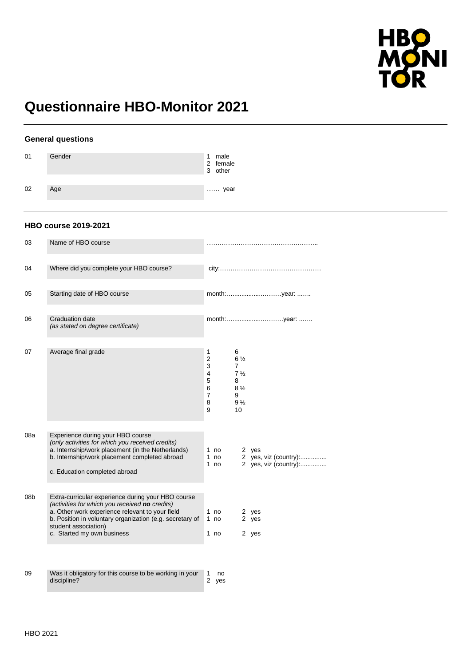

# **Questionnaire HBO-Monitor 2021**

### **General questions**

| 01 | Gender | male<br>1<br>2 female<br>3 other |
|----|--------|----------------------------------|
| 02 | Age    | year                             |

### **HBO course 2019-2021**

| 03  | Name of HBO course                                                                                                                                                                                                                                                        |                                                                                                                                                          |
|-----|---------------------------------------------------------------------------------------------------------------------------------------------------------------------------------------------------------------------------------------------------------------------------|----------------------------------------------------------------------------------------------------------------------------------------------------------|
| 04  | Where did you complete your HBO course?                                                                                                                                                                                                                                   |                                                                                                                                                          |
| 05  | Starting date of HBO course                                                                                                                                                                                                                                               |                                                                                                                                                          |
| 06  | <b>Graduation date</b><br>(as stated on degree certificate)                                                                                                                                                                                                               |                                                                                                                                                          |
| 07  | Average final grade                                                                                                                                                                                                                                                       | 1<br>6<br>2<br>$6\frac{1}{2}$<br>3<br>7<br>4<br>$7\frac{1}{2}$<br>5<br>8<br>6<br>$8\frac{1}{2}$<br>$\overline{7}$<br>9<br>8<br>$9\frac{1}{2}$<br>9<br>10 |
| 08a | Experience during your HBO course<br>(only activities for which you received credits)<br>a. Internship/work placement (in the Netherlands)<br>b. Internship/work placement completed abroad<br>c. Education completed abroad                                              | 1 no<br>2 yes<br>2 yes, viz (country):<br>1 $no$<br>2 yes, viz (country):<br>1 no                                                                        |
| 08b | Extra-curricular experience during your HBO course<br>(activities for which you received no credits)<br>a. Other work experience relevant to your field<br>b. Position in voluntary organization (e.g. secretary of<br>student association)<br>c. Started my own business | 1 no<br>2 yes<br>1 no<br>2 yes<br>1 no<br>2 yes                                                                                                          |
| 09  | Was it obligatory for this course to be working in your<br>discipline?                                                                                                                                                                                                    | no<br>1<br>2<br>yes                                                                                                                                      |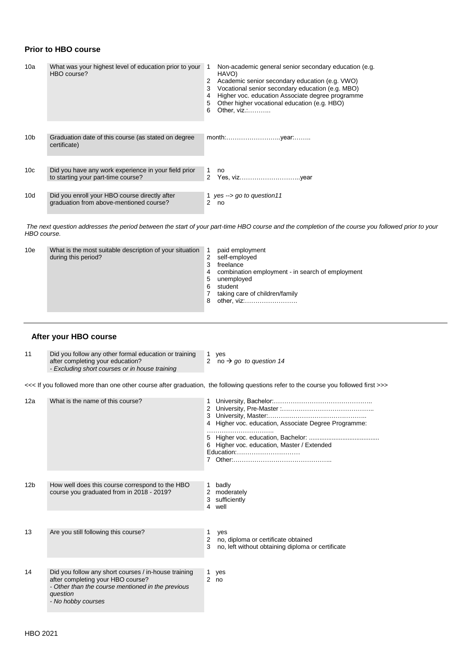### **Prior to HBO course**

| 10a             | What was your highest level of education prior to your<br>HBO course?                      | Non-academic general senior secondary education (e.g.<br>1<br>HAVO)<br>Academic senior secondary education (e.g. VWO)<br>2<br>Vocational senior secondary education (e.g. MBO)<br>3<br>Higher voc. education Associate degree programme<br>4<br>Other higher vocational education (e.g. HBO)<br>5<br>Other, viz.:<br>6 |
|-----------------|--------------------------------------------------------------------------------------------|------------------------------------------------------------------------------------------------------------------------------------------------------------------------------------------------------------------------------------------------------------------------------------------------------------------------|
| 10 <sub>b</sub> | Graduation date of this course (as stated on degree<br>certificate)                        |                                                                                                                                                                                                                                                                                                                        |
|                 |                                                                                            |                                                                                                                                                                                                                                                                                                                        |
| 10 <sub>c</sub> | Did you have any work experience in your field prior<br>to starting your part-time course? | 1<br>no<br>2                                                                                                                                                                                                                                                                                                           |
| 10d             | Did you enroll your HBO course directly after<br>graduation from above-mentioned course?   | 1 yes $\rightarrow$ go to question 11<br>2<br>no                                                                                                                                                                                                                                                                       |

*The next question addresses the period between the start of your part-time HBO course and the completion of the course you followed prior to your HBO course.* 

| 10e | What is the most suitable description of your situation |   | paid employment                                  |
|-----|---------------------------------------------------------|---|--------------------------------------------------|
|     | during this period?                                     | 2 | self-employed                                    |
|     |                                                         | 3 | freelance                                        |
|     |                                                         | 4 | combination employment - in search of employment |
|     |                                                         | 5 | unemployed                                       |
|     |                                                         | 6 | student                                          |
|     |                                                         |   | taking care of children/family                   |
|     |                                                         | 8 | other, viz:                                      |
|     |                                                         |   |                                                  |

### **After your HBO course**

| 11 | Did you follow any other formal education or training<br>after completing your education? | 1 ves<br>2 no $\rightarrow$ go to question 14 |
|----|-------------------------------------------------------------------------------------------|-----------------------------------------------|
|    | - Excluding short courses or in house training                                            |                                               |

<<< If you followed more than one other course after graduation, the following questions refer to the course you followed first >>>

| 12a             | What is the name of this course?                                                                                                                                                 | 4 Higher voc. education, Associate Degree Programme:<br>6 Higher voc. education, Master / Extended<br>Education: |
|-----------------|----------------------------------------------------------------------------------------------------------------------------------------------------------------------------------|------------------------------------------------------------------------------------------------------------------|
| 12 <sub>b</sub> | How well does this course correspond to the HBO<br>course you graduated from in 2018 - 2019?                                                                                     | badly<br>1<br>2 moderately<br>3 sufficiently<br>4<br>well                                                        |
| 13              | Are you still following this course?                                                                                                                                             | 1.<br>yes<br>no, diploma or certificate obtained<br>2<br>3<br>no, left without obtaining diploma or certificate  |
| 14              | Did you follow any short courses / in-house training<br>after completing your HBO course?<br>- Other than the course mentioned in the previous<br>question<br>- No hobby courses | 1.<br>yes<br>2 <sub>no</sub>                                                                                     |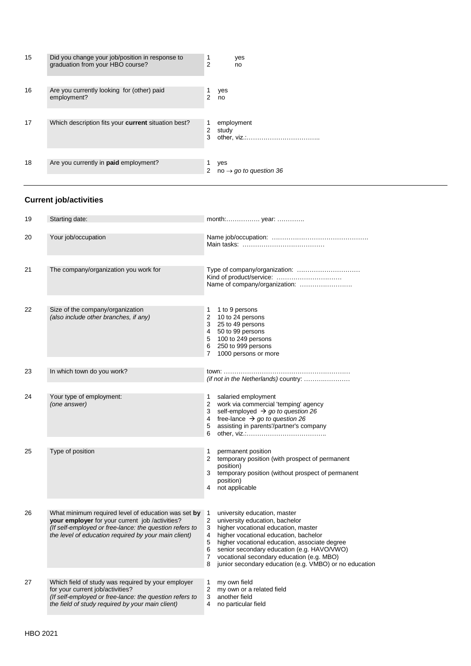| 15 | Did you change your job/position in response to<br>graduation from your HBO course? | $\overline{2}$ | yes<br>no                                 |
|----|-------------------------------------------------------------------------------------|----------------|-------------------------------------------|
| 16 | Are you currently looking for (other) paid<br>employment?                           | 2              | yes<br>no                                 |
| 17 | Which description fits your <b>current</b> situation best?                          | 2<br>3         | employment<br>study<br>other, viz         |
| 18 | Are you currently in <b>paid</b> employment?                                        | 2              | yes<br>no $\rightarrow$ go to question 36 |

# **Current job/activities**

| 19 | Starting date:                                                                                                                                                                                                            | month: year:                                                                                                                                                                                                                                                                                                                                                                                                                      |
|----|---------------------------------------------------------------------------------------------------------------------------------------------------------------------------------------------------------------------------|-----------------------------------------------------------------------------------------------------------------------------------------------------------------------------------------------------------------------------------------------------------------------------------------------------------------------------------------------------------------------------------------------------------------------------------|
| 20 | Your job/occupation                                                                                                                                                                                                       |                                                                                                                                                                                                                                                                                                                                                                                                                                   |
| 21 | The company/organization you work for                                                                                                                                                                                     | Name of company/organization:                                                                                                                                                                                                                                                                                                                                                                                                     |
| 22 | Size of the company/organization<br>(also include other branches, if any)                                                                                                                                                 | 1 to 9 persons<br>1<br>10 to 24 persons<br>$\overline{2}$<br>3 25 to 49 persons<br>4 50 to 99 persons<br>5 100 to 249 persons<br>6 250 to 999 persons<br>1000 persons or more<br>7                                                                                                                                                                                                                                                |
| 23 | In which town do you work?                                                                                                                                                                                                | (if not in the Netherlands) country:                                                                                                                                                                                                                                                                                                                                                                                              |
| 24 | Your type of employment:<br>(one answer)                                                                                                                                                                                  | 1<br>salaried employment<br>$\overline{2}$<br>work via commercial 'temping' agency<br>3 self-employed $\rightarrow$ go to question 26<br>free-lance $\rightarrow$ go to question 26<br>$\overline{4}$<br>assisting in parents'/partner's company<br>5<br>6                                                                                                                                                                        |
| 25 | Type of position                                                                                                                                                                                                          | 1<br>permanent position<br>$\overline{2}$<br>temporary position (with prospect of permanent<br>position)<br>temporary position (without prospect of permanent<br>3<br>position)<br>not applicable<br>4                                                                                                                                                                                                                            |
| 26 | What minimum required level of education was set by<br>your employer for your current job /activities?<br>(If self-employed or free-lance: the question refers to<br>the level of education required by your main client) | university education, master<br>$\mathbf{1}$<br>$\overline{c}$<br>university education, bachelor<br>3<br>higher vocational education, master<br>$\overline{4}$<br>higher vocational education, bachelor<br>5<br>higher vocational education, associate degree<br>6<br>senior secondary education (e.g. HAVO/VWO)<br>7<br>vocational secondary education (e.g. MBO)<br>junior secondary education (e.g. VMBO) or no education<br>8 |
| 27 | Which field of study was required by your employer<br>for your current job/activities?<br>(If self-employed or free-lance: the question refers to<br>the field of study required by your main client)                     | 1<br>my own field<br>$\overline{2}$<br>my own or a related field<br>3<br>another field<br>4<br>no particular field                                                                                                                                                                                                                                                                                                                |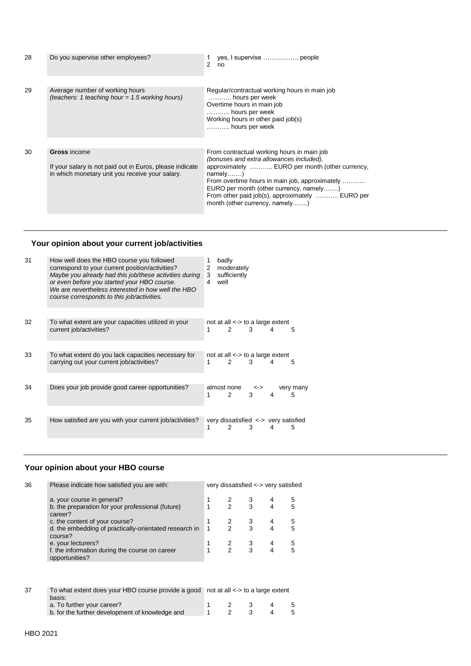| 28 | Do you supervise other employees?                                                                                                  | yes, I supervise  people<br>2<br>no                                                                                                                                                                                                                                                                                                      |
|----|------------------------------------------------------------------------------------------------------------------------------------|------------------------------------------------------------------------------------------------------------------------------------------------------------------------------------------------------------------------------------------------------------------------------------------------------------------------------------------|
| 29 | Average number of working hours<br>(teachers: 1 teaching hour = $1.5$ working hours)                                               | Regular/contractual working hours in main job<br>hours per week<br>Overtime hours in main job<br>hours per week<br>Working hours in other paid job(s)<br>hours per week                                                                                                                                                                  |
| 30 | <b>Gross</b> income<br>If your salary is not paid out in Euros, please indicate<br>in which monetary unit you receive your salary. | From contractual working hours in main job<br>(bonuses and extra allowances included),<br>approximately  EURO per month (other currency,<br>$namely$ )<br>From overtime hours in main job, approximately<br>EURO per month (other currency, namely)<br>From other paid job(s), approximately  EURO per<br>month (other currency, namely) |

# **Your opinion about your current job/activities**

| 31 | How well does the HBO course you followed<br>correspond to your current position/activities?<br>Maybe you already had this job/these activities during<br>or even before you started your HBO course.<br>We are nevertheless interested in how well the HBO<br>course corresponds to this job/activities. | 2<br>3<br>4 | well | badly<br>moderately<br>sufficiently                   |          |   |                |
|----|-----------------------------------------------------------------------------------------------------------------------------------------------------------------------------------------------------------------------------------------------------------------------------------------------------------|-------------|------|-------------------------------------------------------|----------|---|----------------|
|    |                                                                                                                                                                                                                                                                                                           |             |      |                                                       |          |   |                |
| 32 | To what extent are your capacities utilized in your<br>current job/activities?                                                                                                                                                                                                                            | 1           |      | not at all $\lt$ > to a large extent<br>$\mathcal{P}$ | 3        | 4 | 5              |
|    |                                                                                                                                                                                                                                                                                                           |             |      |                                                       |          |   |                |
| 33 | To what extent do you lack capacities necessary for<br>carrying out your current job/activities?                                                                                                                                                                                                          | 1           |      | not at all $\lt$ > to a large extent<br>$\mathcal{P}$ | 3        | 4 | 5              |
|    |                                                                                                                                                                                                                                                                                                           |             |      |                                                       |          |   |                |
| 34 | Does your job provide good career opportunities?                                                                                                                                                                                                                                                          | 1           |      | almost none<br>$\mathcal{P}$                          | <-><br>3 | 4 | very many<br>5 |
|    |                                                                                                                                                                                                                                                                                                           |             |      |                                                       |          |   |                |
| 35 | How satisfied are you with your current job/activities?                                                                                                                                                                                                                                                   | 1           |      | very dissatisfied <-> very satisfied<br>2             | 3        | 4 | 5              |

# **Your opinion about your HBO course**

| 36 | Please indicate how satisfied you are with:                                                    |   |                |   | very dissatisfied <-> very satisfied |   |
|----|------------------------------------------------------------------------------------------------|---|----------------|---|--------------------------------------|---|
|    | a. your course in general?                                                                     |   |                | 3 |                                      | 5 |
|    | b. the preparation for your professional (future)<br>career?                                   | 1 | $\mathcal{P}$  | 3 | $\overline{4}$                       | 5 |
|    | c. the content of your course?                                                                 |   | 2              | 3 | 4                                    | 5 |
|    | d. the embedding of practically-orientated research in<br>course?                              |   | $\mathcal{P}$  | 3 | 4                                    | 5 |
|    | e. your lecturers?                                                                             |   |                | 3 | 4                                    | 5 |
|    | f. the information during the course on career<br>opportunities?                               | 1 | $\mathcal{P}$  | 3 | 4                                    | 5 |
|    |                                                                                                |   |                |   |                                      |   |
| 37 | To what extent does your HBO course provide a good not at all < -> to a large extent<br>basis: |   |                |   |                                      |   |
|    | a. To further your career?                                                                     |   |                |   |                                      | 5 |
|    | b. for the further development of knowledge and                                                |   | $\mathfrak{p}$ | 3 |                                      | 5 |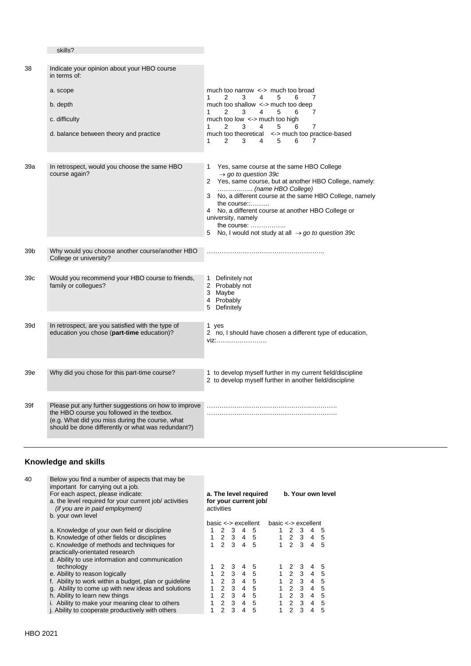| 38  | Indicate your opinion about your HBO course<br>in terms of:<br>a. scope<br>b. depth<br>c. difficulty                                                                                                         | much too narrow $\le$ > much too broad<br>2<br>1<br>3<br>4<br>5<br>6<br>7<br>much too shallow $\le$ > much too deep<br>2<br>3<br>4<br>5<br>6<br>1.<br>7<br>much too low <-> much too high                                                                                                                                                                                                                                          |  |  |  |  |
|-----|--------------------------------------------------------------------------------------------------------------------------------------------------------------------------------------------------------------|------------------------------------------------------------------------------------------------------------------------------------------------------------------------------------------------------------------------------------------------------------------------------------------------------------------------------------------------------------------------------------------------------------------------------------|--|--|--|--|
|     | d. balance between theory and practice                                                                                                                                                                       | 2<br>4<br>5<br>6<br>7<br>3<br>1<br>much too theoretical<br><-> much too practice-based<br>$\overline{2}$<br>3<br>5<br>6<br>1<br>4<br>7                                                                                                                                                                                                                                                                                             |  |  |  |  |
| 39a | In retrospect, would you choose the same HBO<br>course again?                                                                                                                                                | Yes, same course at the same HBO College<br>1<br>$\rightarrow$ go to question 39c<br>Yes, same course, but at another HBO College, namely:<br>$\mathbf{2}$<br>(name HBO College)<br>No, a different course at the same HBO College, namely<br>3<br>the course:<br>No, a different course at another HBO College or<br>4<br>university, namely<br>the course:<br>No, I would not study at all $\rightarrow$ go to question 39c<br>5 |  |  |  |  |
| 39b | Why would you choose another course/another HBO<br>College or university?                                                                                                                                    |                                                                                                                                                                                                                                                                                                                                                                                                                                    |  |  |  |  |
| 39с | Would you recommend your HBO course to friends,<br>family or collegues?                                                                                                                                      | Definitely not<br>$\mathbf{1}$<br>2 Probably not<br>3 Maybe<br>4 Probably<br>Definitely<br>5                                                                                                                                                                                                                                                                                                                                       |  |  |  |  |
| 39d | In retrospect, are you satisfied with the type of<br>education you chose (part-time education)?                                                                                                              | 1 yes<br>2 no, I should have chosen a different type of education,<br>viz:                                                                                                                                                                                                                                                                                                                                                         |  |  |  |  |
| 39e | Why did you chose for this part-time course?                                                                                                                                                                 | 1 to develop myself further in my current field/discipline<br>2 to develop myself further in another field/discipline                                                                                                                                                                                                                                                                                                              |  |  |  |  |
| 39f | Please put any further suggestions on how to improve<br>the HBO course you followed in the textbox.<br>(e.g. What did you miss during the course, what<br>should be done differently or what was redundant?) |                                                                                                                                                                                                                                                                                                                                                                                                                                    |  |  |  |  |

### **Knowledge and skills**

skills?

| 40 | Below you find a number of aspects that may be<br>important for carrying out a job.<br>For each aspect, please indicate:<br>a. the level required for your current job/activities<br><i>(if you are in paid employment)</i><br>b. your own level | a. The level required<br>for your current job/<br>activities |               |                     |                       |    |  | b. Your own level    |                     |                |     |  |  |
|----|--------------------------------------------------------------------------------------------------------------------------------------------------------------------------------------------------------------------------------------------------|--------------------------------------------------------------|---------------|---------------------|-----------------------|----|--|----------------------|---------------------|----------------|-----|--|--|
|    |                                                                                                                                                                                                                                                  |                                                              |               |                     | $base \leq$ excellent |    |  | $base < -$ excellent |                     |                |     |  |  |
|    | a. Knowledge of your own field or discipline                                                                                                                                                                                                     |                                                              | $\mathcal{P}$ | 3                   | 4                     | -5 |  |                      | 2 3                 | 4              | -5  |  |  |
|    | b. Knowledge of other fields or disciplines                                                                                                                                                                                                      |                                                              | 1 2 3 4 5     |                     |                       |    |  |                      | $1 \t2 \t3 \t4 \t5$ |                |     |  |  |
|    | c. Knowledge of methods and techniques for<br>practically-orientated research                                                                                                                                                                    |                                                              |               |                     | $2 \t3 \t4 \t5$       |    |  |                      | $1 \t2 \t3$         | $\overline{4}$ | -5  |  |  |
|    | d. Ability to use information and communication<br>technology                                                                                                                                                                                    |                                                              |               | 2 3                 | 4                     | -5 |  |                      | 1 2 3               | 4              | 5   |  |  |
|    | e. Ability to reason logically                                                                                                                                                                                                                   | 1.                                                           |               | $2 \t3 \t4$         |                       | -5 |  |                      | $1\quad2\quad3$     | 4              | 5   |  |  |
|    | f. Ability to work within a budget, plan or guideline                                                                                                                                                                                            |                                                              |               | $2 \quad 3 \quad 4$ |                       | -5 |  |                      | $1\quad2\quad3$     | $\overline{4}$ | -5  |  |  |
|    | g. Ability to come up with new ideas and solutions                                                                                                                                                                                               |                                                              | $\mathcal{P}$ |                     | 3 4 5                 |    |  |                      | $1\quad2\quad3$     | $\overline{4}$ | 5   |  |  |
|    | h. Ability to learn new things                                                                                                                                                                                                                   |                                                              | $\mathcal{P}$ |                     | 3 4 5                 |    |  |                      | 2 3                 | $\overline{4}$ | -5  |  |  |
|    | i. Ability to make your meaning clear to others                                                                                                                                                                                                  |                                                              |               |                     | 2 3 4 5               |    |  |                      | $2 \quad 3$         | $\overline{4}$ | - 5 |  |  |
|    | j. Ability to cooperate productively with others                                                                                                                                                                                                 |                                                              | 2             | 3                   | 4                     | -5 |  | $\mathcal{P}$        | 3                   | 4              | 5   |  |  |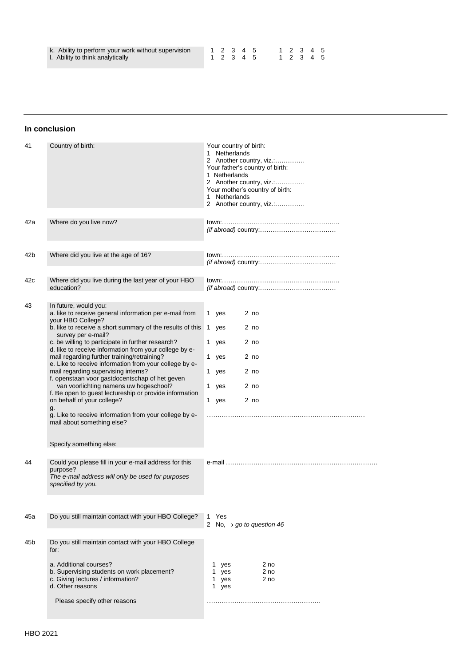| k. Ability to perform your work without supervision |
|-----------------------------------------------------|
| Ability to think anglytically                       |

l. Ability to think analytically

#### 1 2 3 4 5 1 2 3 4 5 1 2 3 4 5 1 2 3 4 5

#### **In conclusion**

| 41       | Country of birth:                                                                                                                                                                                                                                                                                                                                                                                                                                                                                                                                                                                                                                                                                                                                                                                                            | Your country of birth:<br>1 Netherlands<br>2 Another country, viz.:<br>Your father's country of birth:<br>1 Netherlands<br>2 Another country, viz.:<br>Your mother's country of birth:<br><b>Netherlands</b><br>1.<br>2 Another country, viz.: |
|----------|------------------------------------------------------------------------------------------------------------------------------------------------------------------------------------------------------------------------------------------------------------------------------------------------------------------------------------------------------------------------------------------------------------------------------------------------------------------------------------------------------------------------------------------------------------------------------------------------------------------------------------------------------------------------------------------------------------------------------------------------------------------------------------------------------------------------------|------------------------------------------------------------------------------------------------------------------------------------------------------------------------------------------------------------------------------------------------|
| 42a      | Where do you live now?                                                                                                                                                                                                                                                                                                                                                                                                                                                                                                                                                                                                                                                                                                                                                                                                       |                                                                                                                                                                                                                                                |
| 42b      | Where did you live at the age of 16?                                                                                                                                                                                                                                                                                                                                                                                                                                                                                                                                                                                                                                                                                                                                                                                         |                                                                                                                                                                                                                                                |
| 42c      | Where did you live during the last year of your HBO<br>education?                                                                                                                                                                                                                                                                                                                                                                                                                                                                                                                                                                                                                                                                                                                                                            |                                                                                                                                                                                                                                                |
| 43<br>44 | In future, would you:<br>a. like to receive general information per e-mail from<br>your HBO College?<br>b. like to receive a short summary of the results of this<br>survey per e-mail?<br>c. be willing to participate in further research?<br>d. like to receive information from your college by e-<br>mail regarding further training/retraining?<br>e. Like to receive information from your college by e-<br>mail regarding supervising interns?<br>f. openstaan voor gastdocentschap of het geven<br>van voorlichting namens uw hogeschool?<br>f. Be open to guest lectureship or provide information<br>on behalf of your college?<br>g.<br>g. Like to receive information from your college by e-<br>mail about something else?<br>Specify something else:<br>Could you please fill in your e-mail address for this | 2 <sub>no</sub><br>1 yes<br>2 no<br>1 yes<br>1 yes<br>2 no<br>2 no<br>1 yes<br>2 no<br>1<br>yes<br>2 no<br>yes<br>$\mathbf{1}$<br>2 no<br>1 yes                                                                                                |
|          | purpose?<br>The e-mail address will only be used for purposes<br>specified by you.                                                                                                                                                                                                                                                                                                                                                                                                                                                                                                                                                                                                                                                                                                                                           |                                                                                                                                                                                                                                                |
| 45a      | Do you still maintain contact with your HBO College?                                                                                                                                                                                                                                                                                                                                                                                                                                                                                                                                                                                                                                                                                                                                                                         | 1 Yes<br>2 No, $\rightarrow$ go to question 46                                                                                                                                                                                                 |
| 45b      | Do you still maintain contact with your HBO College<br>for:<br>a. Additional courses?<br>b. Supervising students on work placement?<br>c. Giving lectures / information?<br>d. Other reasons<br>Please specify other reasons                                                                                                                                                                                                                                                                                                                                                                                                                                                                                                                                                                                                 | 2 no<br>1 yes<br>1 yes<br>2 no<br>1 yes<br>2 <sub>no</sub><br>1 yes                                                                                                                                                                            |